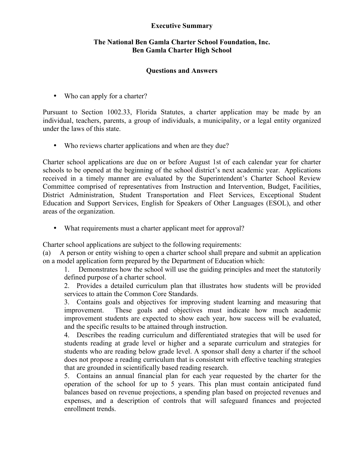## **Executive Summary**

## **The National Ben Gamla Charter School Foundation, Inc. Ben Gamla Charter High School**

## **Questions and Answers**

• Who can apply for a charter?

Pursuant to Section 1002.33, Florida Statutes, a charter application may be made by an individual, teachers, parents, a group of individuals, a municipality, or a legal entity organized under the laws of this state.

• Who reviews charter applications and when are they due?

Charter school applications are due on or before August 1st of each calendar year for charter schools to be opened at the beginning of the school district's next academic year. Applications received in a timely manner are evaluated by the Superintendent's Charter School Review Committee comprised of representatives from Instruction and Intervention, Budget, Facilities, District Administration, Student Transportation and Fleet Services, Exceptional Student Education and Support Services, English for Speakers of Other Languages (ESOL), and other areas of the organization.

• What requirements must a charter applicant meet for approval?

Charter school applications are subject to the following requirements:

(a) A person or entity wishing to open a charter school shall prepare and submit an application on a model application form prepared by the Department of Education which:

1. Demonstrates how the school will use the guiding principles and meet the statutorily defined purpose of a charter school.

2. Provides a detailed curriculum plan that illustrates how students will be provided services to attain the Common Core Standards.

3. Contains goals and objectives for improving student learning and measuring that improvement. These goals and objectives must indicate how much academic improvement students are expected to show each year, how success will be evaluated, and the specific results to be attained through instruction.

4. Describes the reading curriculum and differentiated strategies that will be used for students reading at grade level or higher and a separate curriculum and strategies for students who are reading below grade level. A sponsor shall deny a charter if the school does not propose a reading curriculum that is consistent with effective teaching strategies that are grounded in scientifically based reading research.

5. Contains an annual financial plan for each year requested by the charter for the operation of the school for up to 5 years. This plan must contain anticipated fund balances based on revenue projections, a spending plan based on projected revenues and expenses, and a description of controls that will safeguard finances and projected enrollment trends.